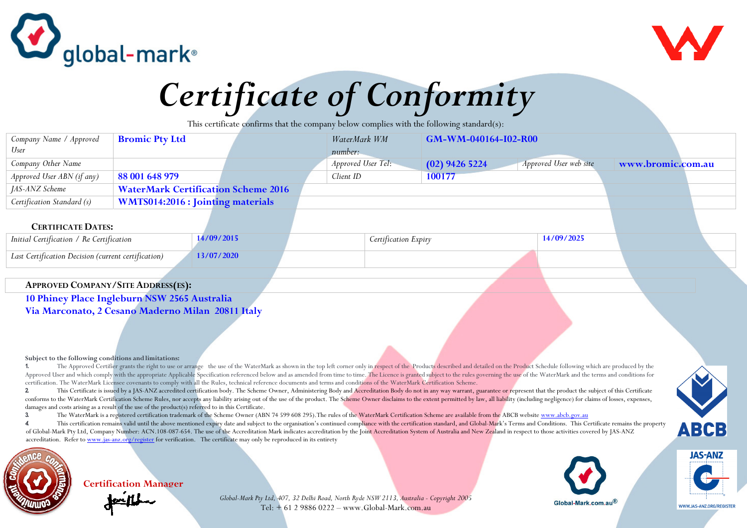



## *Certificate of Conformity*

This certificate confirms that the company below complies with the following standard(s):

| Company Name / Approved    | <b>Bromic Pty Ltd</b>                      | WaterMark WM       | GM-WM-040164-I02-R00                       |                   |
|----------------------------|--------------------------------------------|--------------------|--------------------------------------------|-------------------|
| User                       |                                            | number:            |                                            |                   |
| Company Other Name         |                                            | Approved User Tel: | Approved User web site<br>$(02)$ 9426 5224 | www.bromic.com.au |
| Approved User ABN (if any) | 88 001 648 979                             | Client ID          | 100177                                     |                   |
| JAS-ANZ Scheme             | <b>WaterMark Certification Scheme 2016</b> |                    |                                            |                   |
| Certification Standard (s) | <b>WMTS014:2016 : Jointing materials</b>   |                    |                                            |                   |
|                            |                                            |                    |                                            |                   |

## **CERTIFICATE DATES:**

| $\mid$ Initial Certification / Re Certification     |                  | ertification Expiry | 14/09/2025 |  |
|-----------------------------------------------------|------------------|---------------------|------------|--|
| Last Certification Decision (current certification) | <b>1/07/2020</b> |                     |            |  |

## **APPROVED COMPANY/SITE ADDRESS(ES):**

**10 Phiney Place Ingleburn NSW 2565 Australia Via Marconato, 2 Cesano Maderno Milan 20811 Italy**

**Certification Manager**

## **Subject to the following conditions and limitations:**

1. The Approved Certifier grants the right to use or arrange the use of the WaterMark as shown in the top left corner only in respect of the Products described and detailed on the Product Schedule following which are produ Approved User and which comply with the appropriate Applicable Specification referenced below and as amended from time to time. The Licence is granted subject to the rules governing the use of the WaterMark and the terms a certification. The WaterMark Licensee covenants to comply with all the Rules, technical reference documents and terms and conditions of the WaterMark Certification Scheme.

2 This Certificate is issued by a JAS-ANZ accredited certification body. The Scheme Owner, Administering Body and Accreditation Body do not in any way warrant, guarantee or represent that the product the subject of this Ce conforms to the WaterMark Certification Scheme Rules, nor accepts any liability arising out of the use of the product. The Scheme Owner disclaims to the extent permitted by law, all liability (including negligence) for cla damages and costs arising as a result of the use of the product(s) referred to in this Certificate.

**3.** The WaterMark is a registered certification trademark of the Scheme Owner (ABN 74 599 608 295).The rules of the WaterMark Certification Scheme are available from the ABCB website www.abcb.gov.au

4. This certification remains valid until the above mentioned expiry date and subject to the organisation's continued compliance with the certification standard, and Global-Mark's Terms and Conditions. This Certificate rem of Global-Mark Pty Ltd, Company Number: ACN.108-087-654. The use of the Accreditation Mark indicates accreditation by the Joint Accreditation System of Australia and New Zealand in respect to those activities covered by JA accreditation. Refer to www.jas-anz.org/register for verification. The certificate may only be reproduced in its entirety









WWW IAS-ANZ ORG/REGISTER

*Global-Mark Pty Ltd, 407, 32 Delhi Road, North Ryde NSW 2113, Australia - Copyright 2005*  Tel: + 61 2 9886 0222 – www.Global-Mark.com.au